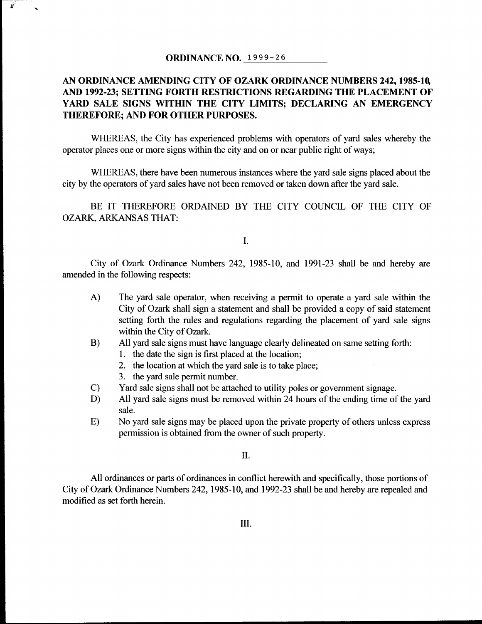## ORDINANCE NO. 1999- 26

 $\mathbf{z}$ 

١.

## AN ORDINANCE AMENDING CITY OF OZARK ORDINANCE NUMBERS 242, 1985-10, AND 1992-23; SETTING FORTH RESTRICTIONS REGARDING THE PLACEMENT OF YARD SALE SIGNS WITHIN THE CITY LIMITS; DECLARING AN EMERGENCY THEREFORE; AND FOR OTHER PURPOSES.

WHEREAS, the City has experienced problems with operators of yard sales whereby the operator places one or more signs within the city and on or near public right of ways;

WHEREAS, there have been numerous instances where the yard sale signs placed about the city by the operators of yard sales have not been removed or taken down after the yard sale.

BE IT THEREFORE ORDAINED BY THE CITY COUNCIL OF THE CITY OF OZARK, ARKANSAS THAT:

I.

City of Ozark Ordinance Numbers 242, 1985-10, and 1991-23 shall be and hereby are amended in the following respects:

- A) The yard sale operator, when receiving <sup>a</sup> permit to operate <sup>a</sup> yard sale within the City of Ozark shall sign a statement and shall be provided a copy of said statement setting forth the rules and regulations regarding the placement of yard sale signs within the City of Ozark.
- B) All yard sale signs must have language clearly delineated on same setting forth:
	- 1. the date the sign is first placed at the location;
	- 2. the location at which the yard sale is to take place;
	- 3. the yard sale permit number.
- C) Yard sale signs shall not be attached to utility poles or government signage.<br>
D) All yard sale signs must be removed within 24 hours of the ending time of
- All yard sale signs must be removed within 24 hours of the ending time of the yard sale.
- E) No yard sale signs may be placed upon the private property of others unless express permission is obtained from the owner of such property.

11.

All ordinances or parts of ordinances in conflict herewith and specifically, those portions of City of Ozark Ordinance Numbers 242, 1985- 10, and 1992-23 shall be and hereby are repealed and modified as set forth herein.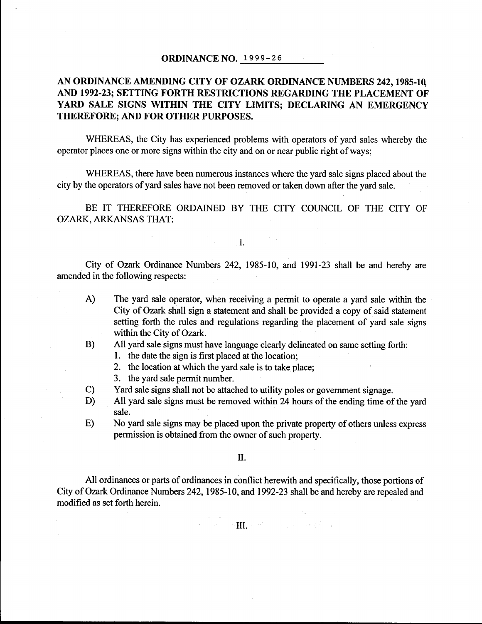## ORDINANCE NO. 1999- 26

## AN ORDINANCE AMENDING CITY OF OZARK ORDINANCE NUMBERS 242, 1985-10, AND 1992-23; SETTING FORTH RESTRICTIONS REGARDING THE PLACEMENT OF YARD SALE SIGNS WITHIN THE CITY LIMITS; DECLARING AN EMERGENCY THEREFORE; AND FOR OTHER PURPOSES.

 $\mathbb{Z}^{n \times n}$  .

WHEREAS, the City has experienced problems with operators of yard sales whereby the operator places one or more signs within the city and on or near public right of ways;

WHEREAS, there have been numerous instances where the yard sale signs placed about the city by the operators of yard sales have not been removed or taken down after the yard sale.

BE IT THEREFORE ORDAINED BY THE CITY COUNCIL OF THE CITY OF OZARK, ARKANSAS THAT:

I.

City of Ozark Ordinance Numbers 242, 1985-10, and 1991-23 shall be and hereby are amended in the following respects:

- A) The yard sale operator, when receiving <sup>a</sup> permit to operate <sup>a</sup> yard sale within the City of Ozark shall sign a statement and shall be provided <sup>a</sup> copy of said statement setting forth the rules and regulations regarding the placement of yard sale signs within the City of Ozark.
- B) All yard sale signs must have language clearly delineated on same setting forth:
	- 1. the date the sign is first placed at the location;
	- 2. the location at which the yard sale is to take place;
	- 3. the yard sale permit number.

 $\lambda$ 

- C) Yard sale signs shall not be attached to utility poles or government signage.<br>
D) All yard sale signs must be removed within 24 hours of the ending time of
- All yard sale signs must be removed within 24 hours of the ending time of the yard sale.
- E) No yard sale signs may be placed upon the private property of others unless express permission is obtained from the owner of such property.

II.

All ordinances or parts of ordinances in conflict herewith and specifically, those portions of City of Ozark Ordinance Numbers 242, 1985-10, and 1992-23 shall be and hereby are repealed and modified as set forth herein.

In the second condition of the second condition of the second condition of the second condition of the second condition of the second condition of the second condition of the second condition of the second condition of th